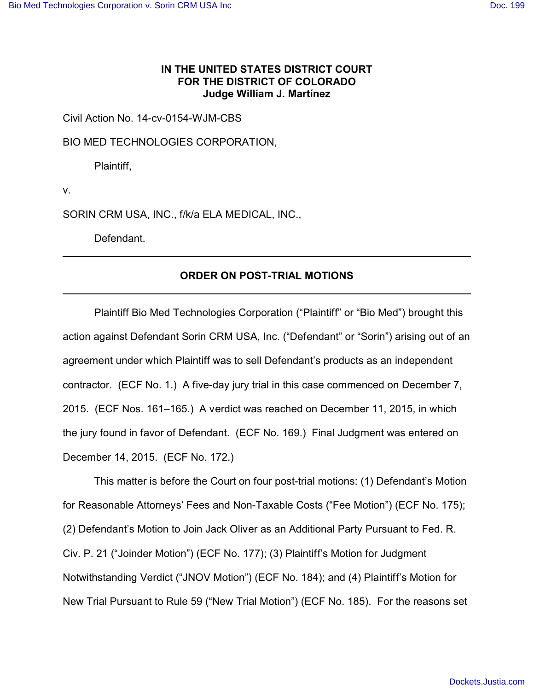# **IN THE UNITED STATES DISTRICT COURT FOR THE DISTRICT OF COLORADO Judge William J. Martínez**

Civil Action No. 14-cv-0154-WJM-CBS

BIO MED TECHNOLOGIES CORPORATION,

Plaintiff,

v.

SORIN CRM USA, INC., f/k/a ELA MEDICAL, INC.,

Defendant.

## **ORDER ON POST-TRIAL MOTIONS**

Plaintiff Bio Med Technologies Corporation ("Plaintiff" or "Bio Med") brought this action against Defendant Sorin CRM USA, Inc. ("Defendant" or "Sorin") arising out of an agreement under which Plaintiff was to sell Defendant's products as an independent contractor. (ECF No. 1.) A five-day jury trial in this case commenced on December 7, 2015. (ECF Nos. 161–165.) A verdict was reached on December 11, 2015, in which the jury found in favor of Defendant. (ECF No. 169.) Final Judgment was entered on December 14, 2015. (ECF No. 172.)

This matter is before the Court on four post-trial motions: (1) Defendant's Motion for Reasonable Attorneys' Fees and Non-Taxable Costs ("Fee Motion") (ECF No. 175); (2) Defendant's Motion to Join Jack Oliver as an Additional Party Pursuant to Fed. R. Civ. P. 21 ("Joinder Motion") (ECF No. 177); (3) Plaintiff's Motion for Judgment Notwithstanding Verdict ("JNOV Motion") (ECF No. 184); and (4) Plaintiff's Motion for New Trial Pursuant to Rule 59 ("New Trial Motion") (ECF No. 185). For the reasons set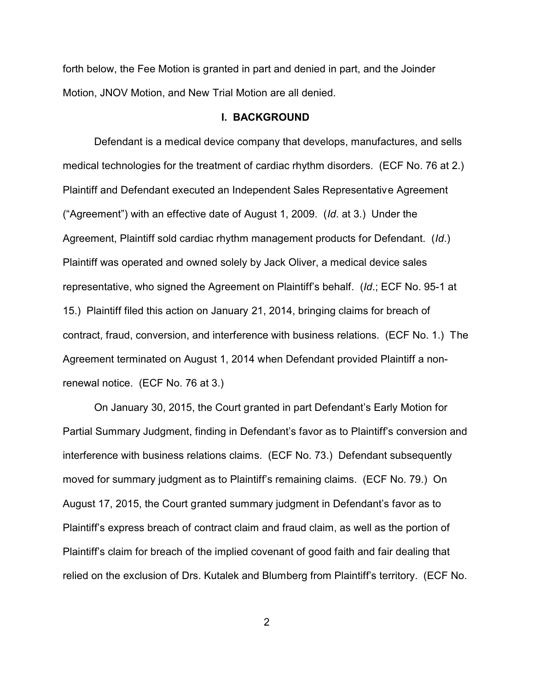forth below, the Fee Motion is granted in part and denied in part, and the Joinder Motion, JNOV Motion, and New Trial Motion are all denied.

#### **I. BACKGROUND**

Defendant is a medical device company that develops, manufactures, and sells medical technologies for the treatment of cardiac rhythm disorders. (ECF No. 76 at 2.) Plaintiff and Defendant executed an Independent Sales Representative Agreement ("Agreement") with an effective date of August 1, 2009. (*Id*. at 3.) Under the Agreement, Plaintiff sold cardiac rhythm management products for Defendant. (*Id*.) Plaintiff was operated and owned solely by Jack Oliver, a medical device sales representative, who signed the Agreement on Plaintiff's behalf. (*Id*.; ECF No. 95-1 at 15.) Plaintiff filed this action on January 21, 2014, bringing claims for breach of contract, fraud, conversion, and interference with business relations. (ECF No. 1.) The Agreement terminated on August 1, 2014 when Defendant provided Plaintiff a nonrenewal notice. (ECF No. 76 at 3.)

On January 30, 2015, the Court granted in part Defendant's Early Motion for Partial Summary Judgment, finding in Defendant's favor as to Plaintiff's conversion and interference with business relations claims. (ECF No. 73.) Defendant subsequently moved for summary judgment as to Plaintiff's remaining claims. (ECF No. 79.) On August 17, 2015, the Court granted summary judgment in Defendant's favor as to Plaintiff's express breach of contract claim and fraud claim, as well as the portion of Plaintiff's claim for breach of the implied covenant of good faith and fair dealing that relied on the exclusion of Drs. Kutalek and Blumberg from Plaintiff's territory. (ECF No.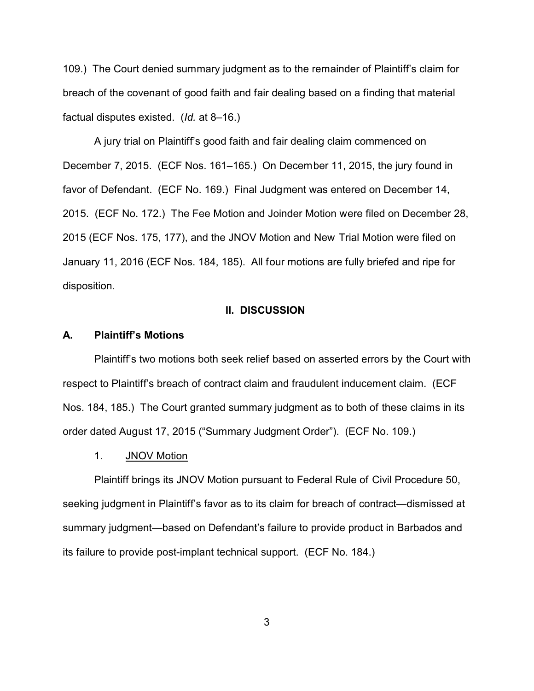109.) The Court denied summary judgment as to the remainder of Plaintiff's claim for breach of the covenant of good faith and fair dealing based on a finding that material factual disputes existed. (*Id.* at 8–16.)

A jury trial on Plaintiff's good faith and fair dealing claim commenced on December 7, 2015. (ECF Nos. 161–165.) On December 11, 2015, the jury found in favor of Defendant. (ECF No. 169.) Final Judgment was entered on December 14, 2015. (ECF No. 172.) The Fee Motion and Joinder Motion were filed on December 28, 2015 (ECF Nos. 175, 177), and the JNOV Motion and New Trial Motion were filed on January 11, 2016 (ECF Nos. 184, 185). All four motions are fully briefed and ripe for disposition.

#### **II. DISCUSSION**

#### **A. Plaintiff's Motions**

Plaintiff's two motions both seek relief based on asserted errors by the Court with respect to Plaintiff's breach of contract claim and fraudulent inducement claim. (ECF Nos. 184, 185.) The Court granted summary judgment as to both of these claims in its order dated August 17, 2015 ("Summary Judgment Order"). (ECF No. 109.)

### 1. JNOV Motion

Plaintiff brings its JNOV Motion pursuant to Federal Rule of Civil Procedure 50, seeking judgment in Plaintiff's favor as to its claim for breach of contract—dismissed at summary judgment—based on Defendant's failure to provide product in Barbados and its failure to provide post-implant technical support. (ECF No. 184.)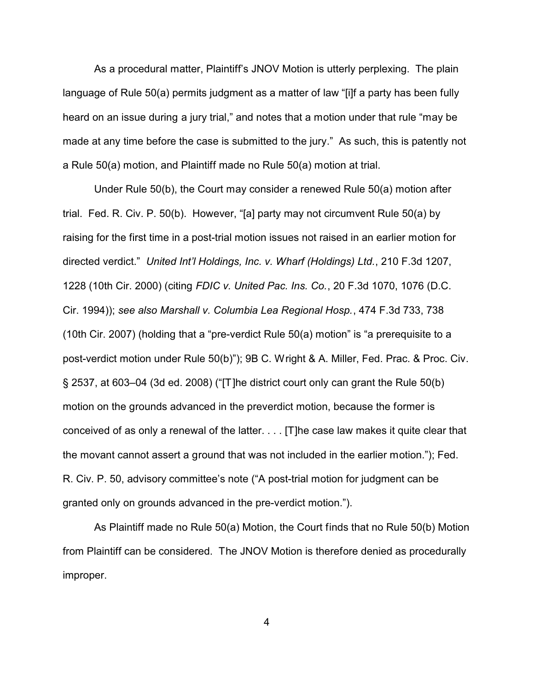As a procedural matter, Plaintiff's JNOV Motion is utterly perplexing. The plain language of Rule 50(a) permits judgment as a matter of law "[i]f a party has been fully heard on an issue during a jury trial," and notes that a motion under that rule "may be made at any time before the case is submitted to the jury." As such, this is patently not a Rule 50(a) motion, and Plaintiff made no Rule 50(a) motion at trial.

Under Rule 50(b), the Court may consider a renewed Rule 50(a) motion after trial. Fed. R. Civ. P. 50(b). However, "[a] party may not circumvent Rule 50(a) by raising for the first time in a post-trial motion issues not raised in an earlier motion for directed verdict." *United Int'l Holdings, Inc. v. Wharf (Holdings) Ltd.*, 210 F.3d 1207, 1228 (10th Cir. 2000) (citing *FDIC v. United Pac. Ins. Co.*, 20 F.3d 1070, 1076 (D.C. Cir. 1994)); *see also Marshall v. Columbia Lea Regional Hosp.*, 474 F.3d 733, 738 (10th Cir. 2007) (holding that a "pre-verdict Rule 50(a) motion" is "a prerequisite to a post-verdict motion under Rule 50(b)"); 9B C. Wright & A. Miller, Fed. Prac. & Proc. Civ. § 2537, at 603–04 (3d ed. 2008) ("[T]he district court only can grant the Rule 50(b) motion on the grounds advanced in the preverdict motion, because the former is conceived of as only a renewal of the latter. . . . [T]he case law makes it quite clear that the movant cannot assert a ground that was not included in the earlier motion."); Fed. R. Civ. P. 50, advisory committee's note ("A post-trial motion for judgment can be granted only on grounds advanced in the pre-verdict motion.").

As Plaintiff made no Rule 50(a) Motion, the Court finds that no Rule 50(b) Motion from Plaintiff can be considered. The JNOV Motion is therefore denied as procedurally improper.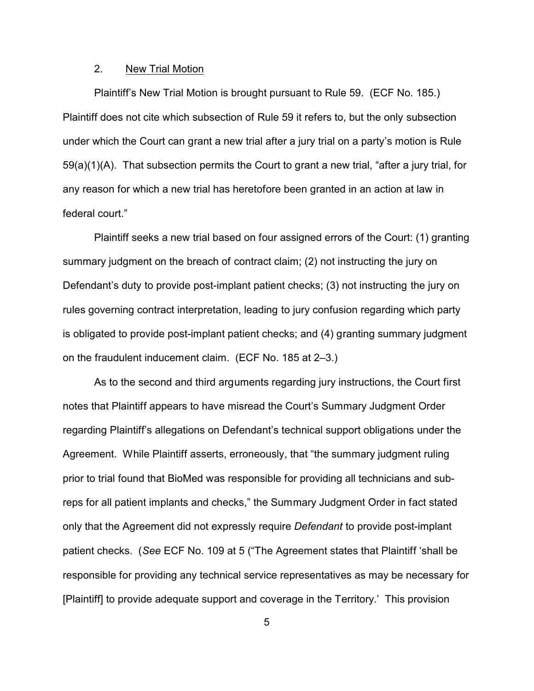### 2. New Trial Motion

Plaintiff's New Trial Motion is brought pursuant to Rule 59. (ECF No. 185.) Plaintiff does not cite which subsection of Rule 59 it refers to, but the only subsection under which the Court can grant a new trial after a jury trial on a party's motion is Rule 59(a)(1)(A). That subsection permits the Court to grant a new trial, "after a jury trial, for any reason for which a new trial has heretofore been granted in an action at law in federal court."

Plaintiff seeks a new trial based on four assigned errors of the Court: (1) granting summary judgment on the breach of contract claim; (2) not instructing the jury on Defendant's duty to provide post-implant patient checks; (3) not instructing the jury on rules governing contract interpretation, leading to jury confusion regarding which party is obligated to provide post-implant patient checks; and (4) granting summary judgment on the fraudulent inducement claim. (ECF No. 185 at 2–3.)

As to the second and third arguments regarding jury instructions, the Court first notes that Plaintiff appears to have misread the Court's Summary Judgment Order regarding Plaintiff's allegations on Defendant's technical support obligations under the Agreement. While Plaintiff asserts, erroneously, that "the summary judgment ruling prior to trial found that BioMed was responsible for providing all technicians and subreps for all patient implants and checks," the Summary Judgment Order in fact stated only that the Agreement did not expressly require *Defendant* to provide post-implant patient checks. (*See* ECF No. 109 at 5 ("The Agreement states that Plaintiff 'shall be responsible for providing any technical service representatives as may be necessary for [Plaintiff] to provide adequate support and coverage in the Territory.' This provision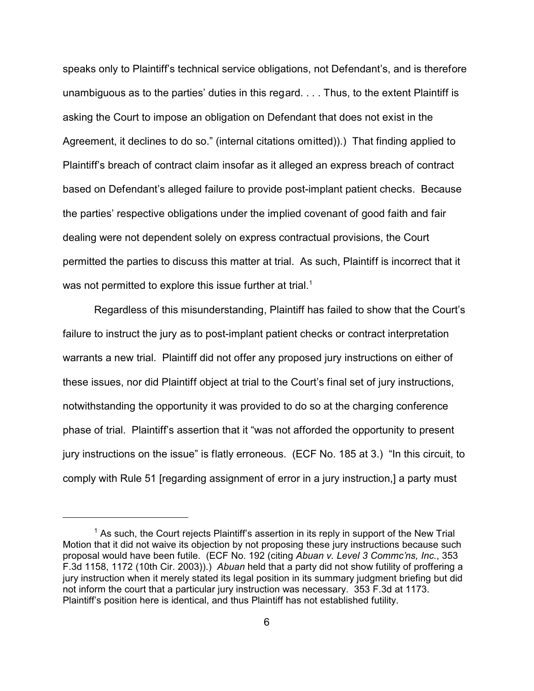speaks only to Plaintiff's technical service obligations, not Defendant's, and is therefore unambiguous as to the parties' duties in this regard. . . . Thus, to the extent Plaintiff is asking the Court to impose an obligation on Defendant that does not exist in the Agreement, it declines to do so." (internal citations omitted)).) That finding applied to Plaintiff's breach of contract claim insofar as it alleged an express breach of contract based on Defendant's alleged failure to provide post-implant patient checks. Because the parties' respective obligations under the implied covenant of good faith and fair dealing were not dependent solely on express contractual provisions, the Court permitted the parties to discuss this matter at trial. As such, Plaintiff is incorrect that it was not permitted to explore this issue further at trial.<sup>1</sup>

Regardless of this misunderstanding, Plaintiff has failed to show that the Court's failure to instruct the jury as to post-implant patient checks or contract interpretation warrants a new trial. Plaintiff did not offer any proposed jury instructions on either of these issues, nor did Plaintiff object at trial to the Court's final set of jury instructions, notwithstanding the opportunity it was provided to do so at the charging conference phase of trial. Plaintiff's assertion that it "was not afforded the opportunity to present jury instructions on the issue" is flatly erroneous. (ECF No. 185 at 3.) "In this circuit, to comply with Rule 51 [regarding assignment of error in a jury instruction,] a party must

 $<sup>1</sup>$  As such, the Court rejects Plaintiff's assertion in its reply in support of the New Trial</sup> Motion that it did not waive its objection by not proposing these jury instructions because such proposal would have been futile. (ECF No. 192 (citing *Abuan v. Level 3 Commc'ns, Inc.*, 353 F.3d 1158, 1172 (10th Cir. 2003)).) *Abuan* held that a party did not show futility of proffering a jury instruction when it merely stated its legal position in its summary judgment briefing but did not inform the court that a particular jury instruction was necessary. 353 F.3d at 1173. Plaintiff's position here is identical, and thus Plaintiff has not established futility.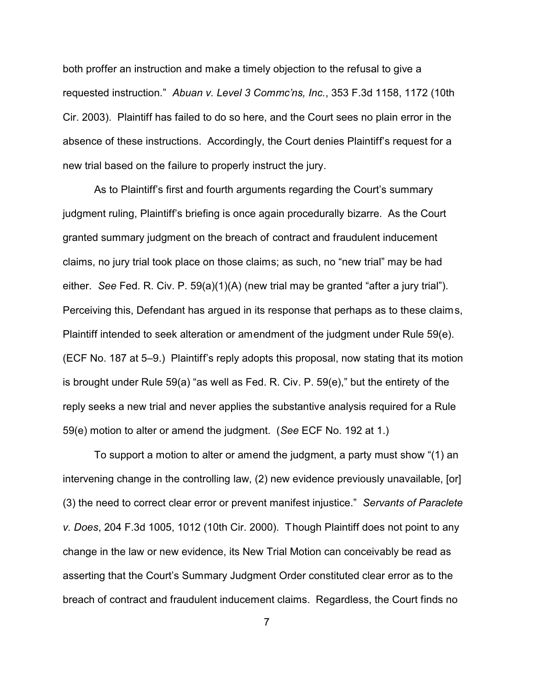both proffer an instruction and make a timely objection to the refusal to give a requested instruction." *Abuan v. Level 3 Commc'ns, Inc.*, 353 F.3d 1158, 1172 (10th Cir. 2003). Plaintiff has failed to do so here, and the Court sees no plain error in the absence of these instructions. Accordingly, the Court denies Plaintiff's request for a new trial based on the failure to properly instruct the jury.

As to Plaintiff's first and fourth arguments regarding the Court's summary judgment ruling, Plaintiff's briefing is once again procedurally bizarre. As the Court granted summary judgment on the breach of contract and fraudulent inducement claims, no jury trial took place on those claims; as such, no "new trial" may be had either. *See* Fed. R. Civ. P. 59(a)(1)(A) (new trial may be granted "after a jury trial"). Perceiving this, Defendant has argued in its response that perhaps as to these claims, Plaintiff intended to seek alteration or amendment of the judgment under Rule 59(e). (ECF No. 187 at 5–9.) Plaintiff's reply adopts this proposal, now stating that its motion is brought under Rule 59(a) "as well as Fed. R. Civ. P. 59(e)," but the entirety of the reply seeks a new trial and never applies the substantive analysis required for a Rule 59(e) motion to alter or amend the judgment. (*See* ECF No. 192 at 1.)

To support a motion to alter or amend the judgment, a party must show "(1) an intervening change in the controlling law, (2) new evidence previously unavailable, [or] (3) the need to correct clear error or prevent manifest injustice." *Servants of Paraclete v. Does*, 204 F.3d 1005, 1012 (10th Cir. 2000). Though Plaintiff does not point to any change in the law or new evidence, its New Trial Motion can conceivably be read as asserting that the Court's Summary Judgment Order constituted clear error as to the breach of contract and fraudulent inducement claims. Regardless, the Court finds no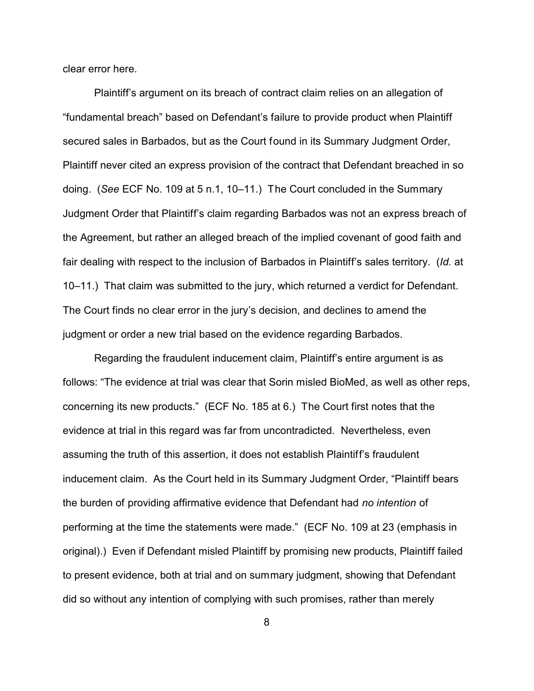clear error here.

Plaintiff's argument on its breach of contract claim relies on an allegation of "fundamental breach" based on Defendant's failure to provide product when Plaintiff secured sales in Barbados, but as the Court found in its Summary Judgment Order, Plaintiff never cited an express provision of the contract that Defendant breached in so doing. (*See* ECF No. 109 at 5 n.1, 10–11.) The Court concluded in the Summary Judgment Order that Plaintiff's claim regarding Barbados was not an express breach of the Agreement, but rather an alleged breach of the implied covenant of good faith and fair dealing with respect to the inclusion of Barbados in Plaintiff's sales territory. (*Id.* at 10–11.) That claim was submitted to the jury, which returned a verdict for Defendant. The Court finds no clear error in the jury's decision, and declines to amend the judgment or order a new trial based on the evidence regarding Barbados.

Regarding the fraudulent inducement claim, Plaintiff's entire argument is as follows: "The evidence at trial was clear that Sorin misled BioMed, as well as other reps, concerning its new products." (ECF No. 185 at 6.) The Court first notes that the evidence at trial in this regard was far from uncontradicted. Nevertheless, even assuming the truth of this assertion, it does not establish Plaintiff's fraudulent inducement claim. As the Court held in its Summary Judgment Order, "Plaintiff bears the burden of providing affirmative evidence that Defendant had *no intention* of performing at the time the statements were made." (ECF No. 109 at 23 (emphasis in original).) Even if Defendant misled Plaintiff by promising new products, Plaintiff failed to present evidence, both at trial and on summary judgment, showing that Defendant did so without any intention of complying with such promises, rather than merely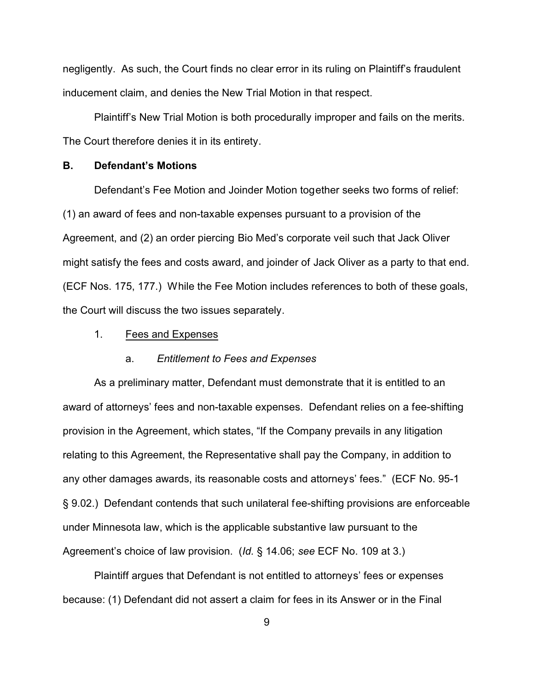negligently. As such, the Court finds no clear error in its ruling on Plaintiff's fraudulent inducement claim, and denies the New Trial Motion in that respect.

Plaintiff's New Trial Motion is both procedurally improper and fails on the merits. The Court therefore denies it in its entirety.

### **B. Defendant's Motions**

Defendant's Fee Motion and Joinder Motion together seeks two forms of relief: (1) an award of fees and non-taxable expenses pursuant to a provision of the Agreement, and (2) an order piercing Bio Med's corporate veil such that Jack Oliver might satisfy the fees and costs award, and joinder of Jack Oliver as a party to that end. (ECF Nos. 175, 177.) While the Fee Motion includes references to both of these goals, the Court will discuss the two issues separately.

1. Fees and Expenses

### a. *Entitlement to Fees and Expenses*

As a preliminary matter, Defendant must demonstrate that it is entitled to an award of attorneys' fees and non-taxable expenses. Defendant relies on a fee-shifting provision in the Agreement, which states, "If the Company prevails in any litigation relating to this Agreement, the Representative shall pay the Company, in addition to any other damages awards, its reasonable costs and attorneys' fees." (ECF No. 95-1 § 9.02.) Defendant contends that such unilateral fee-shifting provisions are enforceable under Minnesota law, which is the applicable substantive law pursuant to the Agreement's choice of law provision. (*Id.* § 14.06; *see* ECF No. 109 at 3.)

Plaintiff argues that Defendant is not entitled to attorneys' fees or expenses because: (1) Defendant did not assert a claim for fees in its Answer or in the Final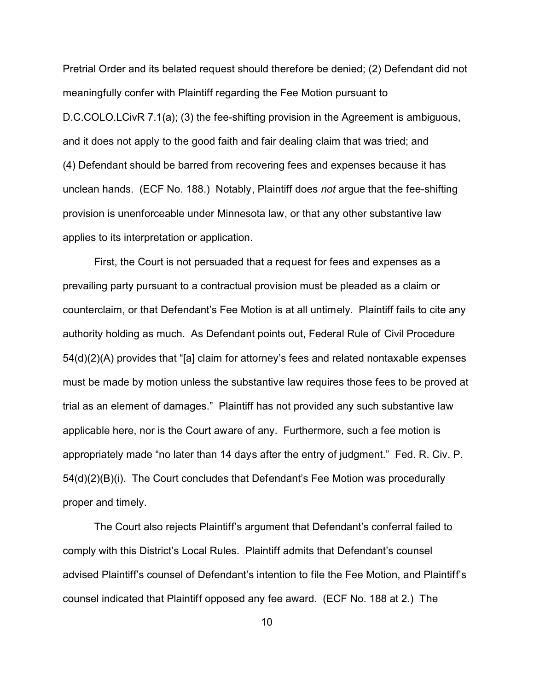Pretrial Order and its belated request should therefore be denied; (2) Defendant did not meaningfully confer with Plaintiff regarding the Fee Motion pursuant to D.C.COLO.LCivR 7.1(a); (3) the fee-shifting provision in the Agreement is ambiguous, and it does not apply to the good faith and fair dealing claim that was tried; and (4) Defendant should be barred from recovering fees and expenses because it has unclean hands. (ECF No. 188.) Notably, Plaintiff does *not* argue that the fee-shifting provision is unenforceable under Minnesota law, or that any other substantive law applies to its interpretation or application.

First, the Court is not persuaded that a request for fees and expenses as a prevailing party pursuant to a contractual provision must be pleaded as a claim or counterclaim, or that Defendant's Fee Motion is at all untimely. Plaintiff fails to cite any authority holding as much. As Defendant points out, Federal Rule of Civil Procedure 54(d)(2)(A) provides that "[a] claim for attorney's fees and related nontaxable expenses must be made by motion unless the substantive law requires those fees to be proved at trial as an element of damages." Plaintiff has not provided any such substantive law applicable here, nor is the Court aware of any. Furthermore, such a fee motion is appropriately made "no later than 14 days after the entry of judgment." Fed. R. Civ. P. 54(d)(2)(B)(i). The Court concludes that Defendant's Fee Motion was procedurally proper and timely.

The Court also rejects Plaintiff's argument that Defendant's conferral failed to comply with this District's Local Rules. Plaintiff admits that Defendant's counsel advised Plaintiff's counsel of Defendant's intention to file the Fee Motion, and Plaintiff's counsel indicated that Plaintiff opposed any fee award. (ECF No. 188 at 2.) The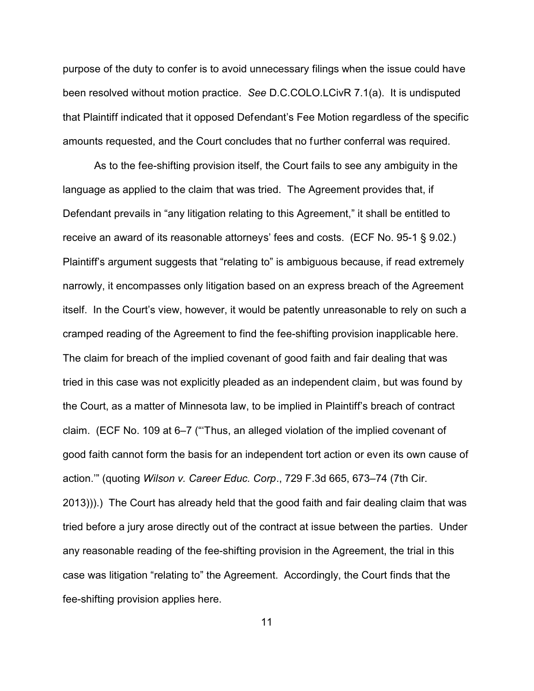purpose of the duty to confer is to avoid unnecessary filings when the issue could have been resolved without motion practice. *See* D.C.COLO.LCivR 7.1(a). It is undisputed that Plaintiff indicated that it opposed Defendant's Fee Motion regardless of the specific amounts requested, and the Court concludes that no further conferral was required.

As to the fee-shifting provision itself, the Court fails to see any ambiguity in the language as applied to the claim that was tried. The Agreement provides that, if Defendant prevails in "any litigation relating to this Agreement," it shall be entitled to receive an award of its reasonable attorneys' fees and costs. (ECF No. 95-1 § 9.02.) Plaintiff's argument suggests that "relating to" is ambiguous because, if read extremely narrowly, it encompasses only litigation based on an express breach of the Agreement itself. In the Court's view, however, it would be patently unreasonable to rely on such a cramped reading of the Agreement to find the fee-shifting provision inapplicable here. The claim for breach of the implied covenant of good faith and fair dealing that was tried in this case was not explicitly pleaded as an independent claim, but was found by the Court, as a matter of Minnesota law, to be implied in Plaintiff's breach of contract claim. (ECF No. 109 at 6–7 ("'Thus, an alleged violation of the implied covenant of good faith cannot form the basis for an independent tort action or even its own cause of action.'" (quoting *Wilson v. Career Educ. Corp*., 729 F.3d 665, 673–74 (7th Cir. 2013))).) The Court has already held that the good faith and fair dealing claim that was tried before a jury arose directly out of the contract at issue between the parties. Under any reasonable reading of the fee-shifting provision in the Agreement, the trial in this case was litigation "relating to" the Agreement. Accordingly, the Court finds that the fee-shifting provision applies here.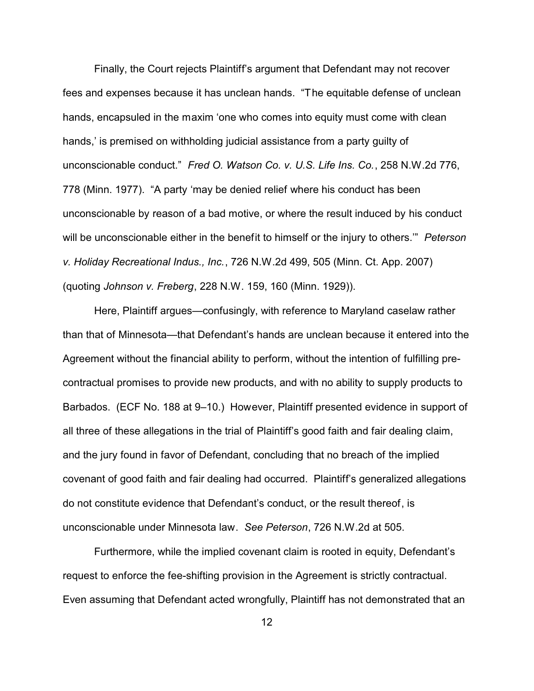Finally, the Court rejects Plaintiff's argument that Defendant may not recover fees and expenses because it has unclean hands. "The equitable defense of unclean hands, encapsuled in the maxim 'one who comes into equity must come with clean hands,' is premised on withholding judicial assistance from a party guilty of unconscionable conduct." *Fred O. Watson Co. v. U.S. Life Ins. Co.*, 258 N.W.2d 776, 778 (Minn. 1977). "A party 'may be denied relief where his conduct has been unconscionable by reason of a bad motive, or where the result induced by his conduct will be unconscionable either in the benefit to himself or the injury to others.'" *Peterson v. Holiday Recreational Indus., Inc.*, 726 N.W.2d 499, 505 (Minn. Ct. App. 2007) (quoting *Johnson v. Freberg*, 228 N.W. 159, 160 (Minn. 1929)).

Here, Plaintiff argues—confusingly, with reference to Maryland caselaw rather than that of Minnesota—that Defendant's hands are unclean because it entered into the Agreement without the financial ability to perform, without the intention of fulfilling precontractual promises to provide new products, and with no ability to supply products to Barbados. (ECF No. 188 at 9–10.) However, Plaintiff presented evidence in support of all three of these allegations in the trial of Plaintiff's good faith and fair dealing claim, and the jury found in favor of Defendant, concluding that no breach of the implied covenant of good faith and fair dealing had occurred. Plaintiff's generalized allegations do not constitute evidence that Defendant's conduct, or the result thereof, is unconscionable under Minnesota law. *See Peterson*, 726 N.W.2d at 505.

Furthermore, while the implied covenant claim is rooted in equity, Defendant's request to enforce the fee-shifting provision in the Agreement is strictly contractual. Even assuming that Defendant acted wrongfully, Plaintiff has not demonstrated that an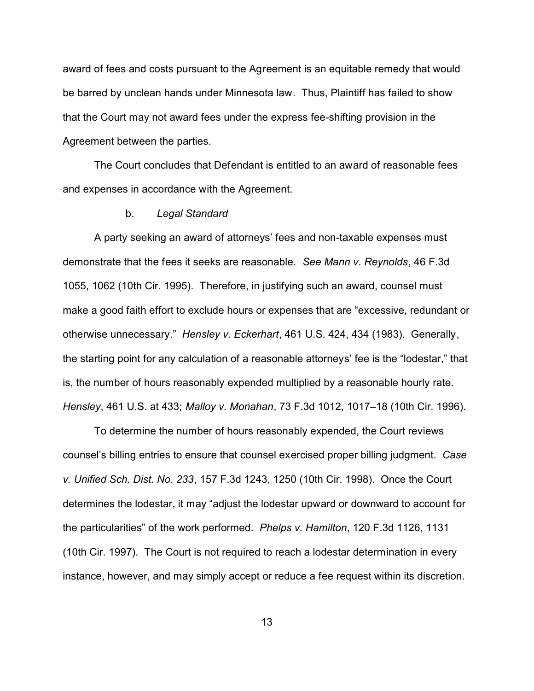award of fees and costs pursuant to the Agreement is an equitable remedy that would be barred by unclean hands under Minnesota law. Thus, Plaintiff has failed to show that the Court may not award fees under the express fee-shifting provision in the Agreement between the parties.

The Court concludes that Defendant is entitled to an award of reasonable fees and expenses in accordance with the Agreement.

#### b. *Legal Standard*

A party seeking an award of attorneys' fees and non-taxable expenses must demonstrate that the fees it seeks are reasonable. *See Mann v. Reynolds*, 46 F.3d 1055, 1062 (10th Cir. 1995). Therefore, in justifying such an award, counsel must make a good faith effort to exclude hours or expenses that are "excessive, redundant or otherwise unnecessary." *Hensley v. Eckerhart*, 461 U.S. 424, 434 (1983). Generally, the starting point for any calculation of a reasonable attorneys' fee is the "lodestar," that is, the number of hours reasonably expended multiplied by a reasonable hourly rate. *Hensley*, 461 U.S. at 433; *Malloy v. Monahan*, 73 F.3d 1012, 1017–18 (10th Cir. 1996).

To determine the number of hours reasonably expended, the Court reviews counsel's billing entries to ensure that counsel exercised proper billing judgment. *Case v. Unified Sch. Dist. No. 233*, 157 F.3d 1243, 1250 (10th Cir. 1998). Once the Court determines the lodestar, it may "adjust the lodestar upward or downward to account for the particularities" of the work performed. *Phelps v. Hamilton*, 120 F.3d 1126, 1131 (10th Cir. 1997). The Court is not required to reach a lodestar determination in every instance, however, and may simply accept or reduce a fee request within its discretion.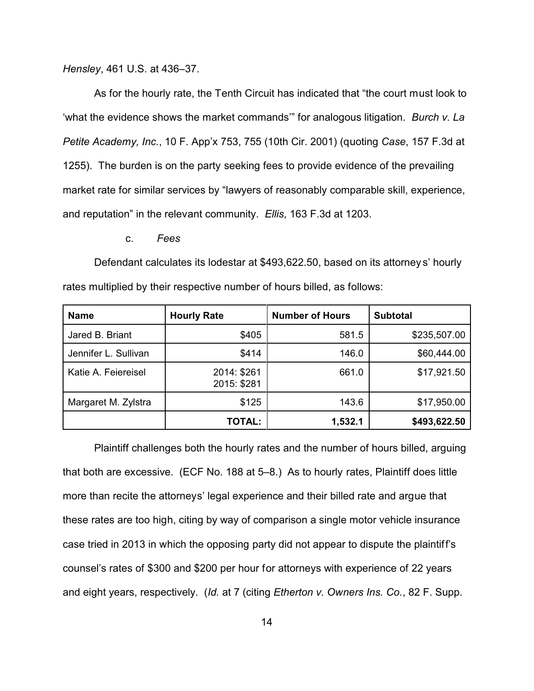*Hensley*, 461 U.S. at 436–37.

As for the hourly rate, the Tenth Circuit has indicated that "the court must look to 'what the evidence shows the market commands'" for analogous litigation. *Burch v. La Petite Academy, Inc.*, 10 F. App'x 753, 755 (10th Cir. 2001) (quoting *Case*, 157 F.3d at 1255). The burden is on the party seeking fees to provide evidence of the prevailing market rate for similar services by "lawyers of reasonably comparable skill, experience, and reputation" in the relevant community. *Ellis*, 163 F.3d at 1203.

c. *Fees*

Defendant calculates its lodestar at \$493,622.50, based on its attorney s' hourly rates multiplied by their respective number of hours billed, as follows:

| <b>Name</b>          | <b>Hourly Rate</b>         | <b>Number of Hours</b> | <b>Subtotal</b> |
|----------------------|----------------------------|------------------------|-----------------|
| Jared B. Briant      | \$405                      | 581.5                  | \$235,507.00    |
| Jennifer L. Sullivan | \$414                      | 146.0                  | \$60,444.00     |
| Katie A. Feiereisel  | 2014: \$261<br>2015: \$281 | 661.0                  | \$17,921.50     |
| Margaret M. Zylstra  | \$125                      | 143.6                  | \$17,950.00     |
|                      | <b>TOTAL:</b>              | 1,532.1                | \$493,622.50    |

Plaintiff challenges both the hourly rates and the number of hours billed, arguing that both are excessive. (ECF No. 188 at 5–8.) As to hourly rates, Plaintiff does little more than recite the attorneys' legal experience and their billed rate and argue that these rates are too high, citing by way of comparison a single motor vehicle insurance case tried in 2013 in which the opposing party did not appear to dispute the plaintiff's counsel's rates of \$300 and \$200 per hour for attorneys with experience of 22 years and eight years, respectively. (*Id.* at 7 (citing *Etherton v. Owners Ins. Co.*, 82 F. Supp.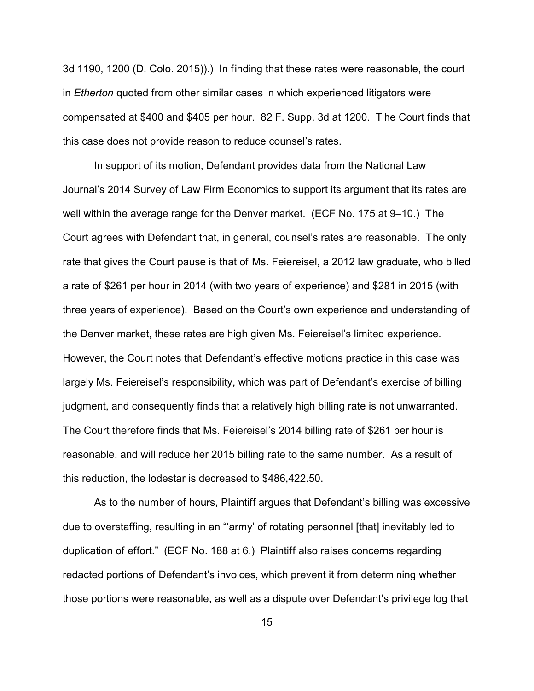3d 1190, 1200 (D. Colo. 2015)).) In finding that these rates were reasonable, the court in *Etherton* quoted from other similar cases in which experienced litigators were compensated at \$400 and \$405 per hour. 82 F. Supp. 3d at 1200. T he Court finds that this case does not provide reason to reduce counsel's rates.

In support of its motion, Defendant provides data from the National Law Journal's 2014 Survey of Law Firm Economics to support its argument that its rates are well within the average range for the Denver market. (ECF No. 175 at 9–10.) The Court agrees with Defendant that, in general, counsel's rates are reasonable. The only rate that gives the Court pause is that of Ms. Feiereisel, a 2012 law graduate, who billed a rate of \$261 per hour in 2014 (with two years of experience) and \$281 in 2015 (with three years of experience). Based on the Court's own experience and understanding of the Denver market, these rates are high given Ms. Feiereisel's limited experience. However, the Court notes that Defendant's effective motions practice in this case was largely Ms. Feiereisel's responsibility, which was part of Defendant's exercise of billing judgment, and consequently finds that a relatively high billing rate is not unwarranted. The Court therefore finds that Ms. Feiereisel's 2014 billing rate of \$261 per hour is reasonable, and will reduce her 2015 billing rate to the same number. As a result of this reduction, the lodestar is decreased to \$486,422.50.

As to the number of hours, Plaintiff argues that Defendant's billing was excessive due to overstaffing, resulting in an "'army' of rotating personnel [that] inevitably led to duplication of effort." (ECF No. 188 at 6.) Plaintiff also raises concerns regarding redacted portions of Defendant's invoices, which prevent it from determining whether those portions were reasonable, as well as a dispute over Defendant's privilege log that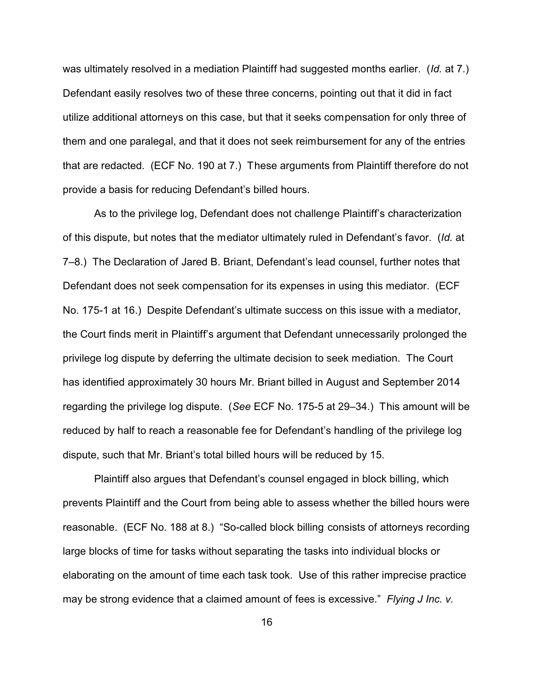was ultimately resolved in a mediation Plaintiff had suggested months earlier. (*Id.* at 7.) Defendant easily resolves two of these three concerns, pointing out that it did in fact utilize additional attorneys on this case, but that it seeks compensation for only three of them and one paralegal, and that it does not seek reimbursement for any of the entries that are redacted. (ECF No. 190 at 7.) These arguments from Plaintiff therefore do not provide a basis for reducing Defendant's billed hours.

As to the privilege log, Defendant does not challenge Plaintiff's characterization of this dispute, but notes that the mediator ultimately ruled in Defendant's favor. (*Id.* at 7–8.) The Declaration of Jared B. Briant, Defendant's lead counsel, further notes that Defendant does not seek compensation for its expenses in using this mediator. (ECF No. 175-1 at 16.) Despite Defendant's ultimate success on this issue with a mediator, the Court finds merit in Plaintiff's argument that Defendant unnecessarily prolonged the privilege log dispute by deferring the ultimate decision to seek mediation. The Court has identified approximately 30 hours Mr. Briant billed in August and September 2014 regarding the privilege log dispute. (*See* ECF No. 175-5 at 29–34.) This amount will be reduced by half to reach a reasonable fee for Defendant's handling of the privilege log dispute, such that Mr. Briant's total billed hours will be reduced by 15.

Plaintiff also argues that Defendant's counsel engaged in block billing, which prevents Plaintiff and the Court from being able to assess whether the billed hours were reasonable. (ECF No. 188 at 8.) "So-called block billing consists of attorneys recording large blocks of time for tasks without separating the tasks into individual blocks or elaborating on the amount of time each task took. Use of this rather imprecise practice may be strong evidence that a claimed amount of fees is excessive." *Flying J Inc. v.*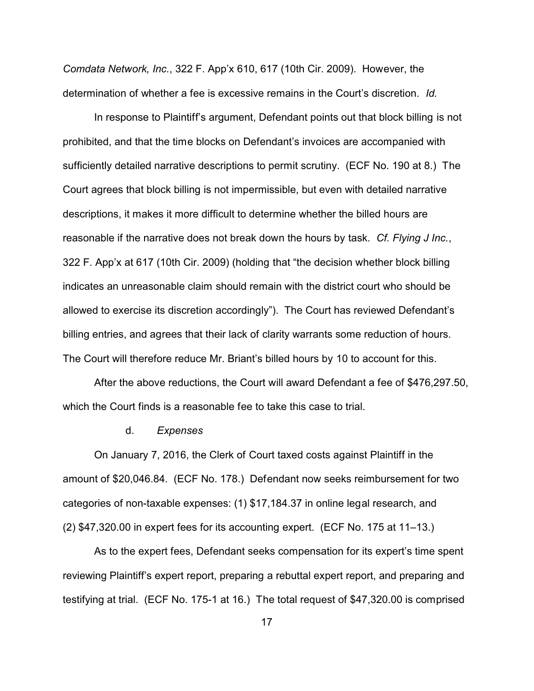*Comdata Network, Inc.*, 322 F. App'x 610, 617 (10th Cir. 2009). However, the determination of whether a fee is excessive remains in the Court's discretion. *Id.*

In response to Plaintiff's argument, Defendant points out that block billing is not prohibited, and that the time blocks on Defendant's invoices are accompanied with sufficiently detailed narrative descriptions to permit scrutiny. (ECF No. 190 at 8.) The Court agrees that block billing is not impermissible, but even with detailed narrative descriptions, it makes it more difficult to determine whether the billed hours are reasonable if the narrative does not break down the hours by task. *Cf. Flying J Inc.*, 322 F. App'x at 617 (10th Cir. 2009) (holding that "the decision whether block billing indicates an unreasonable claim should remain with the district court who should be allowed to exercise its discretion accordingly"). The Court has reviewed Defendant's billing entries, and agrees that their lack of clarity warrants some reduction of hours. The Court will therefore reduce Mr. Briant's billed hours by 10 to account for this.

After the above reductions, the Court will award Defendant a fee of \$476,297.50, which the Court finds is a reasonable fee to take this case to trial.

#### d. *Expenses*

On January 7, 2016, the Clerk of Court taxed costs against Plaintiff in the amount of \$20,046.84. (ECF No. 178.) Defendant now seeks reimbursement for two categories of non-taxable expenses: (1) \$17,184.37 in online legal research, and (2) \$47,320.00 in expert fees for its accounting expert. (ECF No. 175 at 11–13.)

As to the expert fees, Defendant seeks compensation for its expert's time spent reviewing Plaintiff's expert report, preparing a rebuttal expert report, and preparing and testifying at trial. (ECF No. 175-1 at 16.) The total request of \$47,320.00 is comprised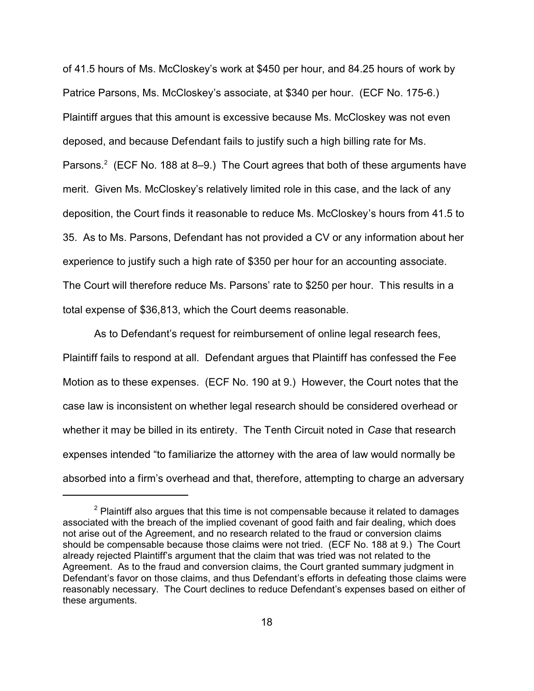of 41.5 hours of Ms. McCloskey's work at \$450 per hour, and 84.25 hours of work by Patrice Parsons, Ms. McCloskey's associate, at \$340 per hour. (ECF No. 175-6.) Plaintiff argues that this amount is excessive because Ms. McCloskey was not even deposed, and because Defendant fails to justify such a high billing rate for Ms. Parsons.<sup>2</sup> (ECF No. 188 at 8–9.) The Court agrees that both of these arguments have merit. Given Ms. McCloskey's relatively limited role in this case, and the lack of any deposition, the Court finds it reasonable to reduce Ms. McCloskey's hours from 41.5 to 35. As to Ms. Parsons, Defendant has not provided a CV or any information about her experience to justify such a high rate of \$350 per hour for an accounting associate. The Court will therefore reduce Ms. Parsons' rate to \$250 per hour. This results in a total expense of \$36,813, which the Court deems reasonable.

As to Defendant's request for reimbursement of online legal research fees, Plaintiff fails to respond at all. Defendant argues that Plaintiff has confessed the Fee Motion as to these expenses. (ECF No. 190 at 9.) However, the Court notes that the case law is inconsistent on whether legal research should be considered overhead or whether it may be billed in its entirety. The Tenth Circuit noted in *Case* that research expenses intended "to familiarize the attorney with the area of law would normally be absorbed into a firm's overhead and that, therefore, attempting to charge an adversary

 $2$  Plaintiff also argues that this time is not compensable because it related to damages associated with the breach of the implied covenant of good faith and fair dealing, which does not arise out of the Agreement, and no research related to the fraud or conversion claims should be compensable because those claims were not tried. (ECF No. 188 at 9.) The Court already rejected Plaintiff's argument that the claim that was tried was not related to the Agreement. As to the fraud and conversion claims, the Court granted summary judgment in Defendant's favor on those claims, and thus Defendant's efforts in defeating those claims were reasonably necessary. The Court declines to reduce Defendant's expenses based on either of these arguments.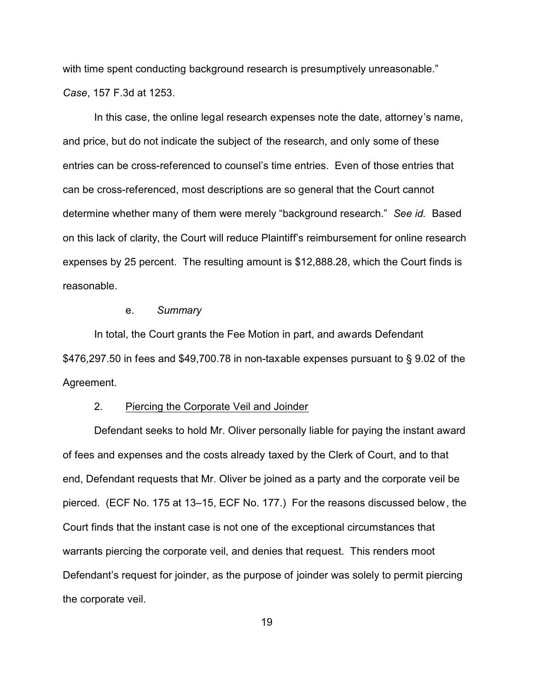with time spent conducting background research is presumptively unreasonable." *Case*, 157 F.3d at 1253.

In this case, the online legal research expenses note the date, attorney's name, and price, but do not indicate the subject of the research, and only some of these entries can be cross-referenced to counsel's time entries. Even of those entries that can be cross-referenced, most descriptions are so general that the Court cannot determine whether many of them were merely "background research." *See id.* Based on this lack of clarity, the Court will reduce Plaintiff's reimbursement for online research expenses by 25 percent. The resulting amount is \$12,888.28, which the Court finds is reasonable.

#### e. *Summary*

In total, the Court grants the Fee Motion in part, and awards Defendant \$476,297.50 in fees and \$49,700.78 in non-taxable expenses pursuant to § 9.02 of the Agreement.

## 2. Piercing the Corporate Veil and Joinder

Defendant seeks to hold Mr. Oliver personally liable for paying the instant award of fees and expenses and the costs already taxed by the Clerk of Court, and to that end, Defendant requests that Mr. Oliver be joined as a party and the corporate veil be pierced. (ECF No. 175 at 13–15, ECF No. 177.) For the reasons discussed below, the Court finds that the instant case is not one of the exceptional circumstances that warrants piercing the corporate veil, and denies that request. This renders moot Defendant's request for joinder, as the purpose of joinder was solely to permit piercing the corporate veil.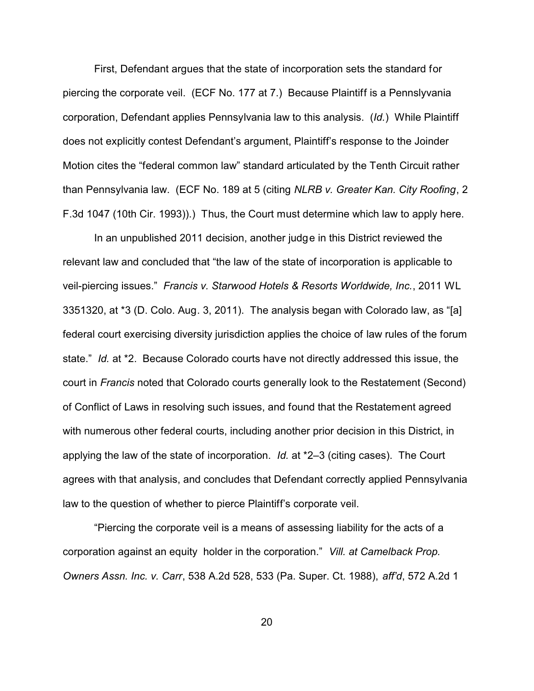First, Defendant argues that the state of incorporation sets the standard for piercing the corporate veil. (ECF No. 177 at 7.) Because Plaintiff is a Pennslyvania corporation, Defendant applies Pennsylvania law to this analysis. (*Id.*) While Plaintiff does not explicitly contest Defendant's argument, Plaintiff's response to the Joinder Motion cites the "federal common law" standard articulated by the Tenth Circuit rather than Pennsylvania law. (ECF No. 189 at 5 (citing *NLRB v. Greater Kan. City Roofing*, 2 F.3d 1047 (10th Cir. 1993)).) Thus, the Court must determine which law to apply here.

In an unpublished 2011 decision, another judge in this District reviewed the relevant law and concluded that "the law of the state of incorporation is applicable to veil-piercing issues." *Francis v. Starwood Hotels & Resorts Worldwide, Inc.*, 2011 WL 3351320, at \*3 (D. Colo. Aug. 3, 2011). The analysis began with Colorado law, as "[a] federal court exercising diversity jurisdiction applies the choice of law rules of the forum state." *Id.* at \*2. Because Colorado courts have not directly addressed this issue, the court in *Francis* noted that Colorado courts generally look to the Restatement (Second) of Conflict of Laws in resolving such issues, and found that the Restatement agreed with numerous other federal courts, including another prior decision in this District, in applying the law of the state of incorporation. *Id.* at \*2–3 (citing cases). The Court agrees with that analysis, and concludes that Defendant correctly applied Pennsylvania law to the question of whether to pierce Plaintiff's corporate veil.

"Piercing the corporate veil is a means of assessing liability for the acts of a corporation against an equity holder in the corporation." *Vill. at Camelback Prop. Owners Assn. Inc. v. Carr*, 538 A.2d 528, 533 (Pa. Super. Ct. 1988), *aff'd*, 572 A.2d 1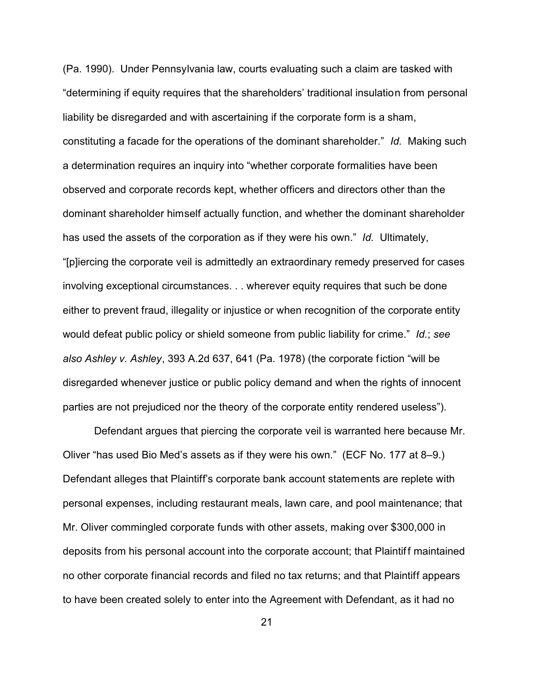(Pa. 1990). Under Pennsylvania law, courts evaluating such a claim are tasked with "determining if equity requires that the shareholders' traditional insulation from personal liability be disregarded and with ascertaining if the corporate form is a sham, constituting a facade for the operations of the dominant shareholder." *Id.* Making such a determination requires an inquiry into "whether corporate formalities have been observed and corporate records kept, whether officers and directors other than the dominant shareholder himself actually function, and whether the dominant shareholder has used the assets of the corporation as if they were his own." *Id.* Ultimately, "[p]iercing the corporate veil is admittedly an extraordinary remedy preserved for cases involving exceptional circumstances. . . wherever equity requires that such be done either to prevent fraud, illegality or injustice or when recognition of the corporate entity would defeat public policy or shield someone from public liability for crime." *Id.*; *see also Ashley v. Ashley*, 393 A.2d 637, 641 (Pa. 1978) (the corporate fiction "will be disregarded whenever justice or public policy demand and when the rights of innocent parties are not prejudiced nor the theory of the corporate entity rendered useless").

Defendant argues that piercing the corporate veil is warranted here because Mr. Oliver "has used Bio Med's assets as if they were his own." (ECF No. 177 at 8–9.) Defendant alleges that Plaintiff's corporate bank account statements are replete with personal expenses, including restaurant meals, lawn care, and pool maintenance; that Mr. Oliver commingled corporate funds with other assets, making over \$300,000 in deposits from his personal account into the corporate account; that Plaintiff maintained no other corporate financial records and filed no tax returns; and that Plaintiff appears to have been created solely to enter into the Agreement with Defendant, as it had no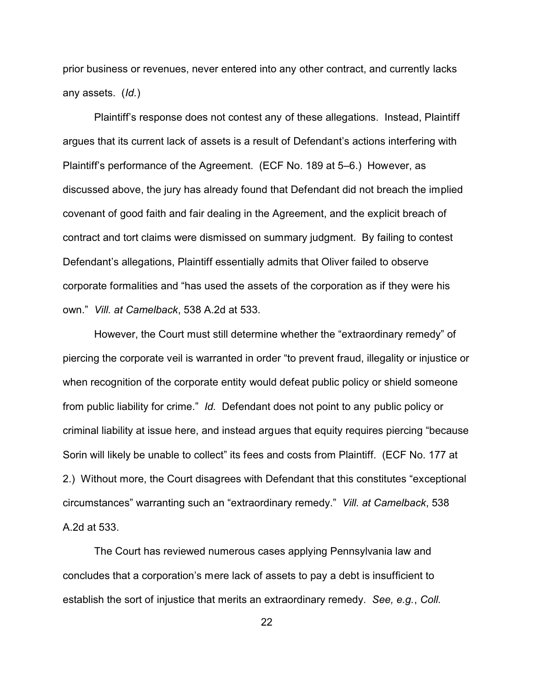prior business or revenues, never entered into any other contract, and currently lacks any assets. (*Id.*)

Plaintiff's response does not contest any of these allegations. Instead, Plaintiff argues that its current lack of assets is a result of Defendant's actions interfering with Plaintiff's performance of the Agreement. (ECF No. 189 at 5–6.) However, as discussed above, the jury has already found that Defendant did not breach the implied covenant of good faith and fair dealing in the Agreement, and the explicit breach of contract and tort claims were dismissed on summary judgment. By failing to contest Defendant's allegations, Plaintiff essentially admits that Oliver failed to observe corporate formalities and "has used the assets of the corporation as if they were his own." *Vill. at Camelback*, 538 A.2d at 533.

However, the Court must still determine whether the "extraordinary remedy" of piercing the corporate veil is warranted in order "to prevent fraud, illegality or injustice or when recognition of the corporate entity would defeat public policy or shield someone from public liability for crime." *Id.* Defendant does not point to any public policy or criminal liability at issue here, and instead argues that equity requires piercing "because Sorin will likely be unable to collect" its fees and costs from Plaintiff. (ECF No. 177 at 2.) Without more, the Court disagrees with Defendant that this constitutes "exceptional circumstances" warranting such an "extraordinary remedy." *Vill. at Camelback*, 538 A.2d at 533.

The Court has reviewed numerous cases applying Pennsylvania law and concludes that a corporation's mere lack of assets to pay a debt is insufficient to establish the sort of injustice that merits an extraordinary remedy. *See, e.g.*, *Coll.*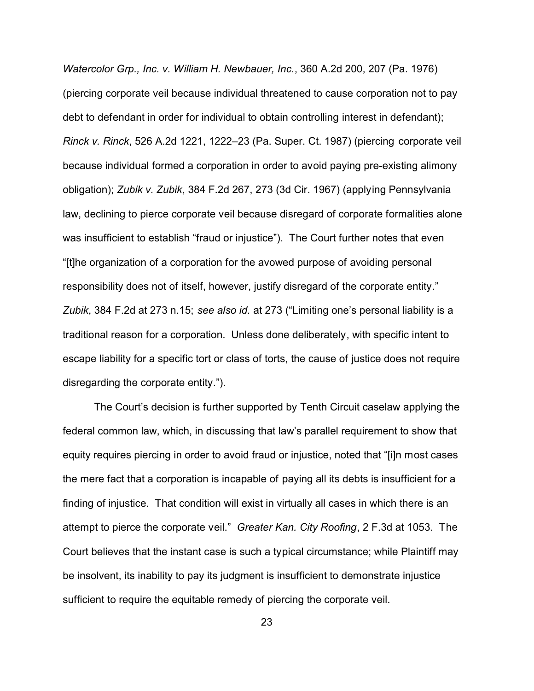*Watercolor Grp., Inc. v. William H. Newbauer, Inc.*, 360 A.2d 200, 207 (Pa. 1976) (piercing corporate veil because individual threatened to cause corporation not to pay debt to defendant in order for individual to obtain controlling interest in defendant); *Rinck v. Rinck*, 526 A.2d 1221, 1222–23 (Pa. Super. Ct. 1987) (piercing corporate veil because individual formed a corporation in order to avoid paying pre-existing alimony obligation); *Zubik v. Zubik*, 384 F.2d 267, 273 (3d Cir. 1967) (applying Pennsylvania law, declining to pierce corporate veil because disregard of corporate formalities alone was insufficient to establish "fraud or injustice"). The Court further notes that even "[t]he organization of a corporation for the avowed purpose of avoiding personal responsibility does not of itself, however, justify disregard of the corporate entity." *Zubik*, 384 F.2d at 273 n.15; *see also id.* at 273 ("Limiting one's personal liability is a traditional reason for a corporation. Unless done deliberately, with specific intent to escape liability for a specific tort or class of torts, the cause of justice does not require disregarding the corporate entity.").

The Court's decision is further supported by Tenth Circuit caselaw applying the federal common law, which, in discussing that law's parallel requirement to show that equity requires piercing in order to avoid fraud or injustice, noted that "[i]n most cases the mere fact that a corporation is incapable of paying all its debts is insufficient for a finding of injustice. That condition will exist in virtually all cases in which there is an attempt to pierce the corporate veil." *Greater Kan. City Roofing*, 2 F.3d at 1053. The Court believes that the instant case is such a typical circumstance; while Plaintiff may be insolvent, its inability to pay its judgment is insufficient to demonstrate injustice sufficient to require the equitable remedy of piercing the corporate veil.